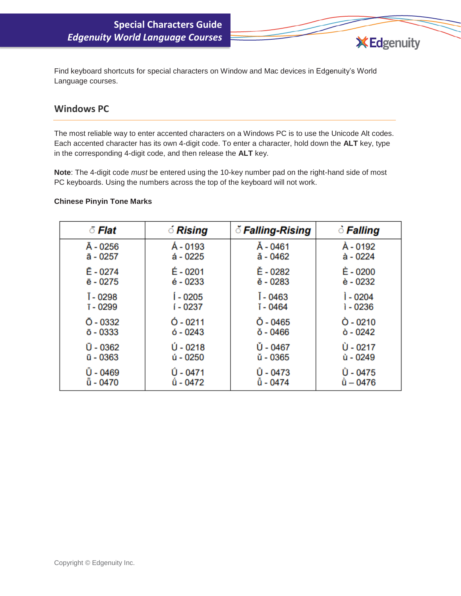Find keyboard shortcuts for special characters on Window and Mac devices in Edgenuity's World Language courses.

**X** Edgenuity

### **Windows PC**

The most reliable way to enter accented characters on a Windows PC is to use the Unicode Alt codes. Each accented character has its own 4-digit code. To enter a character, hold down the **ALT** key, type in the corresponding 4-digit code, and then release the **ALT** key.

**Note**: The 4-digit code *must* be entered using the 10-key number pad on the right-hand side of most PC keyboards. Using the numbers across the top of the keyboard will not work.

#### **Chinese Pinyin Tone Marks**

| ੋਂ Flat          | <i><b><i>C</i></b> Rising</i> | ँ Falling-Rising   | े Falling         |
|------------------|-------------------------------|--------------------|-------------------|
| Ā - 0256         | Á - 0193                      | Å - 0461           | À - 0192          |
| ā - 0257         | $4 - 0225$                    | ă - 0462           | à - 0224          |
| $E - 0274$       | É - 0201                      | Ě - 0282           | È - 0200          |
| ē - 0275         | $é - 0233$                    | ě - 0283           | è - 0232          |
| T - 0298         | Í - 0205                      | I - 0463           | <b>i</b> - 0204   |
| T-0299           | í - 0237                      | ĭ - 0464           | $1 - 0236$        |
| $\bar{O}$ - 0332 | $0 - 0211$                    | $\check{O}$ - 0465 | $\ddot{O}$ - 0210 |
| $\bar{o}$ - 0333 | $6 - 0243$                    | ŏ - 0466           | $\dot{o}$ - 0242  |
| $0 - 0362$       | $U - 0218$                    | Ů - 0467           | Ù - 0217          |
| $\bar{u}$ - 0363 | ú - 0250                      | ŭ - 0365           | ù - 0249          |
| Ü - 0469         | Û - 0471                      | $0 - 0473$         | Û - 0475          |
| ū - 0470         | û - 0472                      | ů - 0474           | $\hat{u} - 0476$  |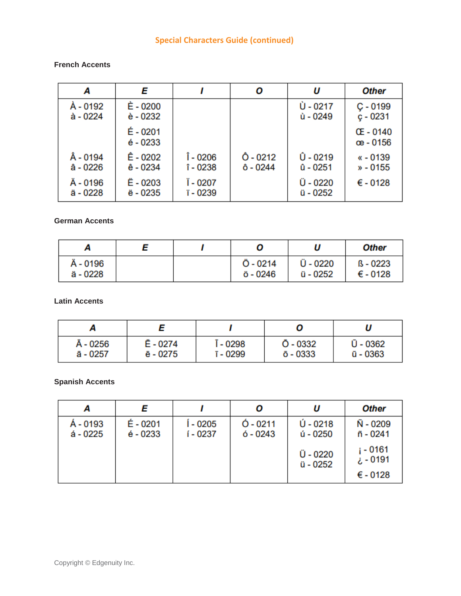# **Special Characters Guide (continued)**

#### **French Accents**

| Α                    | E                      |                      | Ο                    | U                      | <b>Other</b>                  |
|----------------------|------------------------|----------------------|----------------------|------------------------|-------------------------------|
| À - 0192<br>à - 0224 | È - 0200<br>è - 0232   |                      |                      | Ù - 0217<br>ù - 0249   | $C - 0199$<br>$c - 0231$      |
|                      | É - 0201<br>$é - 0233$ |                      |                      |                        | <b>CE-0140</b><br>œ - 0156    |
| - 0194<br>â - 0226   | Ê - 0202<br>ê - 0234   | Î - 0206<br>î - 0238 | Ô - 0212<br>ô - 0244 | Û - 0219<br>$0 - 0251$ | $\kappa$ - 0139<br>$* - 0155$ |
| Ä - 0196<br>ä - 0228 | Ë - 0203<br>ë - 0235   | Ï - 0207<br>ï - 0239 |                      | Ü - 0220<br>ü - 0252   | $€ -0128$                     |

## **German Accents**

| ∼                    |  |                               | U                    | <b>Other</b>                    |
|----------------------|--|-------------------------------|----------------------|---------------------------------|
| Ä - 0196<br>ä - 0228 |  | $\ddot{O}$ - 0214<br>ö - 0246 | Ü - 0220<br>ü - 0252 | $B - 0223$<br>$\epsilon$ - 0128 |

**Latin Accents**

| Ā - 0256 | E - 0274 | í - 0298 | $0 - 0332$       | $U - 0362$       |
|----------|----------|----------|------------------|------------------|
| ā - 0257 | ē - 0275 | T - 0299 | $\bar{o}$ - 0333 | $\bar{u}$ - 0363 |

### **Spanish Accents**

|                      |                      |                     | Ο                        | U                      | <b>Other</b>                              |
|----------------------|----------------------|---------------------|--------------------------|------------------------|-------------------------------------------|
| Á - 0193<br>á - 0225 | É - 0201<br>é - 0233 | $-0205$<br>í - 0237 | $0 - 0211$<br>$6 - 0243$ | $U - 0218$<br>ú - 0250 | Ñ - 0209<br>ñ - 0241                      |
|                      |                      |                     |                          | Ü - 0220<br>ü - 0252   | i - 0161<br>0191 - خ<br>$\epsilon$ - 0128 |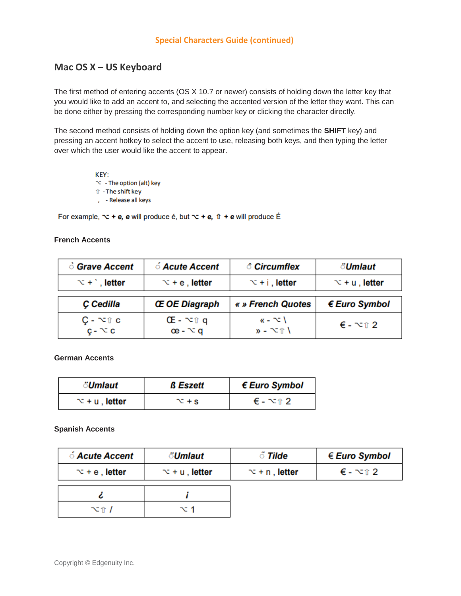## **Mac OS X – US Keyboard**

The first method of entering accents (OS X 10.7 or newer) consists of holding down the letter key that you would like to add an accent to, and selecting the accented version of the letter they want. This can be done either by pressing the corresponding number key or clicking the character directly.

The second method consists of holding down the option key (and sometimes the **SHIFT** key) and pressing an accent hotkey to select the accent to use, releasing both keys, and then typing the letter over which the user would like the accent to appear.

> KEY:  $\infty$  - The option (alt) key ि-The shift key , - Release all keys

For example,  $\sim$  + e, e will produce é, but  $\sim$  + e,  $\hat{v}$  + e will produce É

#### **French Accents**

| ் Grave Accent                                       | <i><b>ó Acute Accent</b></i>                 | <i><b>Circumflex</b></i>                                      | <i><b>៉Umlaut</b></i>            |
|------------------------------------------------------|----------------------------------------------|---------------------------------------------------------------|----------------------------------|
| $\infty$ + $\infty$ , letter                         | $\infty$ + e, letter                         | $\infty$ + i , letter                                         | $\infty$ + u, letter             |
| C Cedilla                                            | <b>Œ OE Diagraph</b>                         | « » French Quotes                                             | € Euro Symbol                    |
| $\mathsf{C}$ - $\nabla \mathbb{T}$ c<br>$c - \infty$ | $CE - \sim \hat{U}$ q<br>$\alpha$ - $\alpha$ | $\kappa$ - $\sim$ \<br>$\mathbf{v}$ - $\infty$ T $\mathbf{V}$ | $\epsilon$ - $\infty$ $\alpha$ 2 |

**German Accents** 

| <i>៉Umlaut</i>       | <b>ß</b> Eszett  | $\epsilon$ Euro Symbol |
|----------------------|------------------|------------------------|
| $\infty$ + u, letter | $\mathbf{r}$ + s | € - ~î 2               |

#### **Spanish Accents**

| <i><b>ó Acute Accent</b></i> | <i><b>៉Umlaut</b></i> | ି Tilde              | $\in$ Euro Symbol                |
|------------------------------|-----------------------|----------------------|----------------------------------|
| $\infty$ + e , letter        | $\infty$ + u, letter  | $\infty$ + n, letter | $\epsilon$ - $\infty$ $\alpha$ 2 |
|                              |                       |                      |                                  |
| $\sim$ 1 /                   | าะ 1                  |                      |                                  |